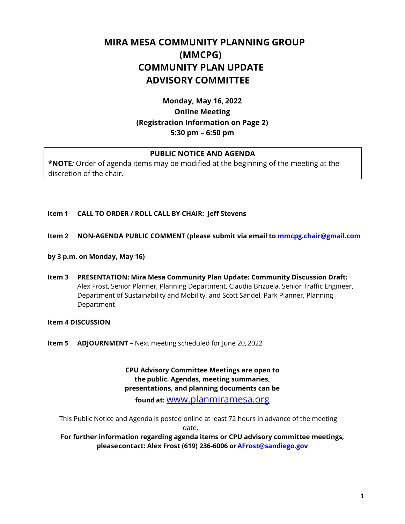# **MIRA MESA COMMUNITY PLANNING GROUP (MMCPG) COMMUNITY PLAN UPDATE ADVISORY COMMITTEE**

# **Monday, May 16, 2022 Online Meeting (Registration Information on Page 2) 5:30 pm – 6:50 pm**

### **PUBLIC NOTICE AND AGENDA**

**\*NOTE***:* Order of agenda items may be modified at the beginning of the meeting at the discretion of the chair.

#### **Item 1 CALL TO ORDER / ROLL CALL BY CHAIR: Jeff Stevens**

- **Item 2 NON-AGENDA PUBLIC COMMENT (please submit via email to [mmcpg.chair@gmail.com](mailto:mmcpg.chair@gmail.com)**
- **by 3 p.m. on Monday, May 16)**
- **Item 3 PRESENTATION: Mira Mesa Community Plan Update: Community Discussion Draft:** Alex Frost, Senior Planner, Planning Department, Claudia Brizuela, Senior Traffic Engineer, Department of Sustainability and Mobility, and Scott Sandel, Park Planner, Planning Department

#### **Item 4 DISCUSSION**

**Item 5 ADJOURNMENT –** Next meeting scheduled for June 20, 2022

**CPU Advisory Committee Meetings are open to the public. Agendas, meeting summaries, presentations, and planning documents can be found at:** [www.planmiramesa.org](http://www.planmiramesa.org/)

 This Public Notice and Agenda is posted online at least 72 hours in advance of the meeting date.

**For further information regarding agenda items or CPU advisory committee meetings, pleasecontact: Alex Frost (619) 236-6006 o[rAFrost@sandiego.gov](mailto:AFrost@sandiego.gov)**